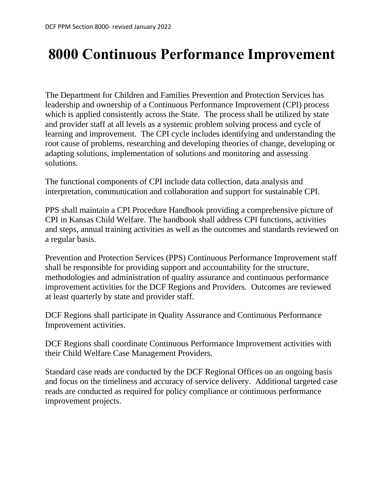# **8000 Continuous Performance Improvement**

The Department for Children and Families Prevention and Protection Services has leadership and ownership of a Continuous Performance Improvement (CPI) process which is applied consistently across the State. The process shall be utilized by state and provider staff at all levels as a systemic problem solving process and cycle of learning and improvement. The CPI cycle includes identifying and understanding the root cause of problems, researching and developing theories of change, developing or adapting solutions, implementation of solutions and monitoring and assessing solutions.

The functional components of CPI include data collection, data analysis and interpretation, communication and collaboration and support for sustainable CPI.

PPS shall maintain a CPI Procedure Handbook providing a comprehensive picture of CPI in Kansas Child Welfare. The handbook shall address CPI functions, activities and steps, annual training activities as well as the outcomes and standards reviewed on a regular basis.

Prevention and Protection Services (PPS) Continuous Performance Improvement staff shall be responsible for providing support and accountability for the structure, methodologies and administration of quality assurance and continuous performance improvement activities for the DCF Regions and Providers. Outcomes are reviewed at least quarterly by state and provider staff.

DCF Regions shall participate in Quality Assurance and Continuous Performance Improvement activities.

DCF Regions shall coordinate Continuous Performance Improvement activities with their Child Welfare Case Management Providers.

Standard case reads are conducted by the DCF Regional Offices on an ongoing basis and focus on the timeliness and accuracy of service delivery. Additional targeted case reads are conducted as required for policy compliance or continuous performance improvement projects.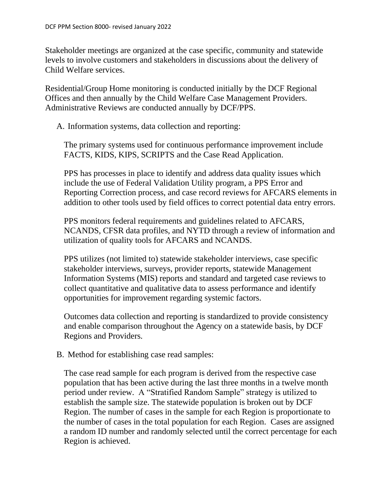Stakeholder meetings are organized at the case specific, community and statewide levels to involve customers and stakeholders in discussions about the delivery of Child Welfare services.

Residential/Group Home monitoring is conducted initially by the DCF Regional Offices and then annually by the Child Welfare Case Management Providers. Administrative Reviews are conducted annually by DCF/PPS.

A. Information systems, data collection and reporting:

The primary systems used for continuous performance improvement include FACTS, KIDS, KIPS, SCRIPTS and the Case Read Application.

PPS has processes in place to identify and address data quality issues which include the use of Federal Validation Utility program, a PPS Error and Reporting Correction process, and case record reviews for AFCARS elements in addition to other tools used by field offices to correct potential data entry errors.

PPS monitors federal requirements and guidelines related to AFCARS, NCANDS, CFSR data profiles, and NYTD through a review of information and utilization of quality tools for AFCARS and NCANDS.

PPS utilizes (not limited to) statewide stakeholder interviews, case specific stakeholder interviews, surveys, provider reports, statewide Management Information Systems (MIS) reports and standard and targeted case reviews to collect quantitative and qualitative data to assess performance and identify opportunities for improvement regarding systemic factors.

Outcomes data collection and reporting is standardized to provide consistency and enable comparison throughout the Agency on a statewide basis, by DCF Regions and Providers.

B. Method for establishing case read samples:

The case read sample for each program is derived from the respective case population that has been active during the last three months in a twelve month period under review. A "Stratified Random Sample" strategy is utilized to establish the sample size. The statewide population is broken out by DCF Region. The number of cases in the sample for each Region is proportionate to the number of cases in the total population for each Region. Cases are assigned a random ID number and randomly selected until the correct percentage for each Region is achieved.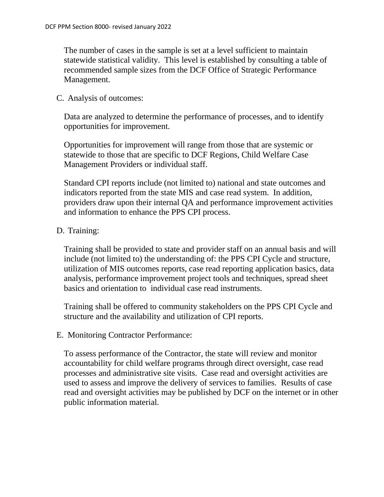The number of cases in the sample is set at a level sufficient to maintain statewide statistical validity. This level is established by consulting a table of recommended sample sizes from the DCF Office of Strategic Performance Management.

#### C. Analysis of outcomes:

Data are analyzed to determine the performance of processes, and to identify opportunities for improvement.

Opportunities for improvement will range from those that are systemic or statewide to those that are specific to DCF Regions, Child Welfare Case Management Providers or individual staff.

Standard CPI reports include (not limited to) national and state outcomes and indicators reported from the state MIS and case read system. In addition, providers draw upon their internal QA and performance improvement activities and information to enhance the PPS CPI process.

### D. Training:

Training shall be provided to state and provider staff on an annual basis and will include (not limited to) the understanding of: the PPS CPI Cycle and structure, utilization of MIS outcomes reports, case read reporting application basics, data analysis, performance improvement project tools and techniques, spread sheet basics and orientation to individual case read instruments.

Training shall be offered to community stakeholders on the PPS CPI Cycle and structure and the availability and utilization of CPI reports.

### E. Monitoring Contractor Performance:

To assess performance of the Contractor, the state will review and monitor accountability for child welfare programs through direct oversight, case read processes and administrative site visits. Case read and oversight activities are used to assess and improve the delivery of services to families. Results of case read and oversight activities may be published by DCF on the internet or in other public information material.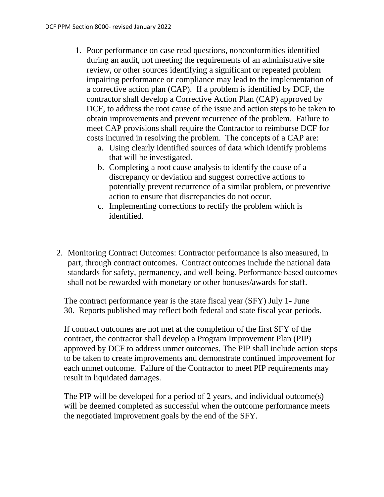- 1. Poor performance on case read questions, nonconformities identified during an audit, not meeting the requirements of an administrative site review, or other sources identifying a significant or repeated problem impairing performance or compliance may lead to the implementation of a corrective action plan (CAP). If a problem is identified by DCF, the contractor shall develop a Corrective Action Plan (CAP) approved by DCF, to address the root cause of the issue and action steps to be taken to obtain improvements and prevent recurrence of the problem. Failure to meet CAP provisions shall require the Contractor to reimburse DCF for costs incurred in resolving the problem. The concepts of a CAP are:
	- a. Using clearly identified sources of data which identify problems that will be investigated.
	- b. Completing a root cause analysis to identify the cause of a discrepancy or deviation and suggest corrective actions to potentially prevent recurrence of a similar problem, or preventive action to ensure that discrepancies do not occur.
	- c. Implementing corrections to rectify the problem which is identified.
- 2. Monitoring Contract Outcomes: Contractor performance is also measured, in part, through contract outcomes. Contract outcomes include the national data standards for safety, permanency, and well-being. Performance based outcomes shall not be rewarded with monetary or other bonuses/awards for staff.

The contract performance year is the state fiscal year (SFY) July 1- June 30. Reports published may reflect both federal and state fiscal year periods.

If contract outcomes are not met at the completion of the first SFY of the contract, the contractor shall develop a Program Improvement Plan (PIP) approved by DCF to address unmet outcomes. The PIP shall include action steps to be taken to create improvements and demonstrate continued improvement for each unmet outcome. Failure of the Contractor to meet PIP requirements may result in liquidated damages.

The PIP will be developed for a period of 2 years, and individual outcome(s) will be deemed completed as successful when the outcome performance meets the negotiated improvement goals by the end of the SFY.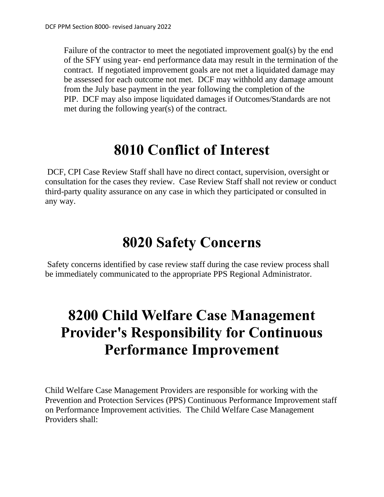Failure of the contractor to meet the negotiated improvement goal(s) by the end of the SFY using year- end performance data may result in the termination of the contract. If negotiated improvement goals are not met a liquidated damage may be assessed for each outcome not met. DCF may withhold any damage amount from the July base payment in the year following the completion of the PIP. DCF may also impose liquidated damages if Outcomes/Standards are not met during the following year(s) of the contract.

### **8010 Conflict of Interest**

DCF, CPI Case Review Staff shall have no direct contact, supervision, oversight or consultation for the cases they review. Case Review Staff shall not review or conduct third-party quality assurance on any case in which they participated or consulted in any way.

### **8020 Safety Concerns**

Safety concerns identified by case review staff during the case review process shall be immediately communicated to the appropriate PPS Regional Administrator.

## **8200 Child Welfare Case Management Provider's Responsibility for Continuous Performance Improvement**

Child Welfare Case Management Providers are responsible for working with the Prevention and Protection Services (PPS) Continuous Performance Improvement staff on Performance Improvement activities. The Child Welfare Case Management Providers shall: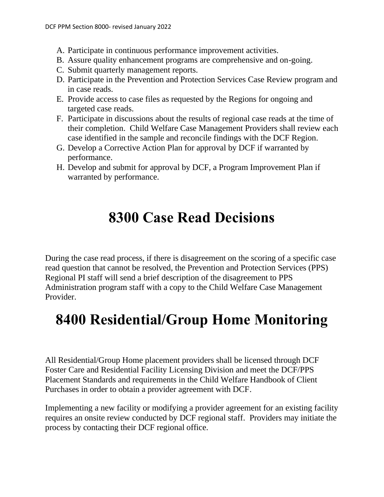- A. Participate in continuous performance improvement activities.
- B. Assure quality enhancement programs are comprehensive and on-going.
- C. Submit quarterly management reports.
- D. Participate in the Prevention and Protection Services Case Review program and in case reads.
- E. Provide access to case files as requested by the Regions for ongoing and targeted case reads.
- F. Participate in discussions about the results of regional case reads at the time of their completion. Child Welfare Case Management Providers shall review each case identified in the sample and reconcile findings with the DCF Region.
- G. Develop a Corrective Action Plan for approval by DCF if warranted by performance.
- H. Develop and submit for approval by DCF, a Program Improvement Plan if warranted by performance.

## **8300 Case Read Decisions**

During the case read process, if there is disagreement on the scoring of a specific case read question that cannot be resolved, the Prevention and Protection Services (PPS) Regional PI staff will send a brief description of the disagreement to PPS Administration program staff with a copy to the Child Welfare Case Management Provider.

## **8400 Residential/Group Home Monitoring**

All Residential/Group Home placement providers shall be licensed through DCF Foster Care and Residential Facility Licensing Division and meet the DCF/PPS Placement Standards and requirements in the Child Welfare Handbook of Client Purchases in order to obtain a provider agreement with DCF.

Implementing a new facility or modifying a provider agreement for an existing facility requires an onsite review conducted by DCF regional staff. Providers may initiate the process by contacting their DCF regional office.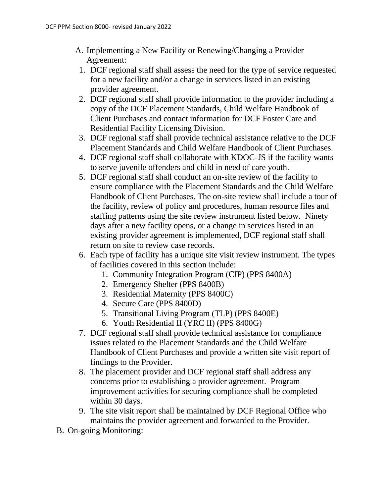- A. Implementing a New Facility or Renewing/Changing a Provider Agreement:
- 1. DCF regional staff shall assess the need for the type of service requested for a new facility and/or a change in services listed in an existing provider agreement.
- 2. DCF regional staff shall provide information to the provider including a copy of the DCF Placement Standards, Child Welfare Handbook of Client Purchases and contact information for DCF Foster Care and Residential Facility Licensing Division.
- 3. DCF regional staff shall provide technical assistance relative to the DCF Placement Standards and Child Welfare Handbook of Client Purchases.
- 4. DCF regional staff shall collaborate with KDOC-JS if the facility wants to serve juvenile offenders and child in need of care youth.
- 5. DCF regional staff shall conduct an on-site review of the facility to ensure compliance with the Placement Standards and the Child Welfare Handbook of Client Purchases. The on-site review shall include a tour of the facility, review of policy and procedures, human resource files and staffing patterns using the site review instrument listed below. Ninety days after a new facility opens, or a change in services listed in an existing provider agreement is implemented, DCF regional staff shall return on site to review case records.
- 6. Each type of facility has a unique site visit review instrument. The types of facilities covered in this section include:
	- 1. Community Integration Program (CIP) (PPS 8400A)
	- 2. Emergency Shelter (PPS 8400B)
	- 3. Residential Maternity (PPS 8400C)
	- 4. Secure Care (PPS 8400D)
	- 5. Transitional Living Program (TLP) (PPS 8400E)
	- 6. Youth Residential II (YRC II) (PPS 8400G)
- 7. DCF regional staff shall provide technical assistance for compliance issues related to the Placement Standards and the Child Welfare Handbook of Client Purchases and provide a written site visit report of findings to the Provider.
- 8. The placement provider and DCF regional staff shall address any concerns prior to establishing a provider agreement. Program improvement activities for securing compliance shall be completed within 30 days.
- 9. The site visit report shall be maintained by DCF Regional Office who maintains the provider agreement and forwarded to the Provider.
- B. On-going Monitoring: